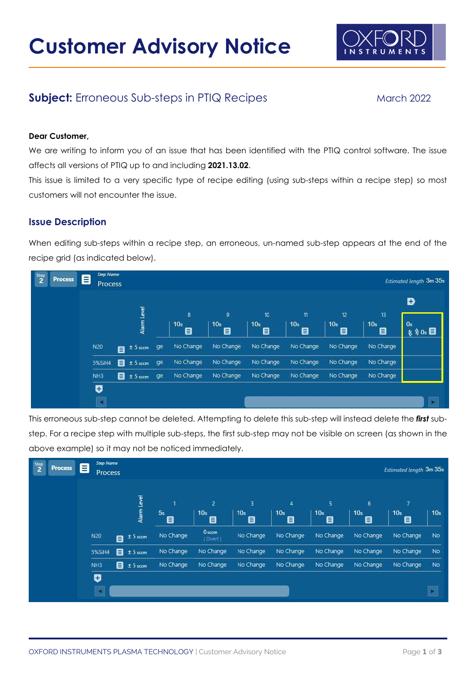

# Subject: Erroneous Sub-steps in PTIQ Recipes March 2022

#### Dear Customer,

We are writing to inform you of an issue that has been identified with the PTIQ control software. The issue affects all versions of PTIQ up to and including 2021.13.02.

This issue is limited to a very specific type of recipe editing (using sub-steps within a recipe step) so most customers will not encounter the issue.

#### Issue Description

When editing sub-steps within a recipe step, an erroneous, un-named sub-step appears at the end of the recipe grid (as indicated below).

| $\frac{5 \text{top}}{2}$<br><b>Process</b> | <b>Step Name</b><br>8                     |                          |    |                      |                      |                      |                      |                      |                      |                                  |
|--------------------------------------------|-------------------------------------------|--------------------------|----|----------------------|----------------------|----------------------|----------------------|----------------------|----------------------|----------------------------------|
|                                            | <b>Estimated length 3m 35s</b><br>Process |                          |    |                      |                      |                      |                      |                      |                      |                                  |
|                                            |                                           |                          |    |                      |                      | D                    |                      |                      |                      |                                  |
|                                            |                                           |                          |    | 8                    | g.                   | 10                   | $\mathfrak n$        | 12                   | $\mathbf{1}$         |                                  |
|                                            |                                           | Alarm Level              |    | 10 <sub>s</sub><br>目 | 10 <sub>s</sub><br>目 | 10 <sub>s</sub><br>目 | 10 <sub>s</sub><br>目 | 10 <sub>s</sub><br>目 | 10 <sub>s</sub><br>目 | 0s<br>$(0, 0)$ Os $\blacksquare$ |
|                                            | N20                                       | $± 5$ sccm<br>目          | ge | No Change            | No Change            | No Change            | No Change            | No Change            | No Change            |                                  |
|                                            | 5%SiH4                                    | $\mathbf{B}$ ± 5 sccm    | ge | No Change            | No Change            | No Change            | No Change            | No Change            | No Change            |                                  |
|                                            | NH <sub>3</sub>                           | <sup>9</sup> ± 5 sccm ge |    | No Change            | No Change            | No Change            | No Change            | No Change            | No Change            |                                  |
|                                            | U                                         |                          |    |                      |                      |                      |                      |                      |                      |                                  |
|                                            |                                           |                          |    |                      |                      |                      |                      |                      |                      | E                                |

This erroneous sub-step cannot be deleted. Attempting to delete this sub-step will instead delete the first substep. For a recipe step with multiple sub-steps, the first sub-step may not be visible on screen (as shown in the above example) so it may not be noticed immediately.

| $\frac{Step}{2}$<br>Process | <b>Step Name</b><br>Ξ<br><b>Process</b> |                        |              |                                        |                           |                           |                            |                           | <b>Estimated length 3m 35s</b> |                       |
|-----------------------------|-----------------------------------------|------------------------|--------------|----------------------------------------|---------------------------|---------------------------|----------------------------|---------------------------|--------------------------------|-----------------------|
|                             |                                         | Alarm Level            | м<br>5s<br>e | $\overline{2}$<br>10 <sub>s</sub><br>目 | з<br>10 <sub>s</sub><br>8 | 4<br>10 <sub>s</sub><br>目 | 5.<br>10 <sub>s</sub><br>目 | 6<br>10 <sub>s</sub><br>8 | 77<br>10 <sub>s</sub><br>目     | 10 <sub>s</sub>       |
|                             | N20                                     | $± 5$ sccm<br>a.       | No Change    | 0 <sub>sccm</sub><br>(Divert)          | No Change                 | No Change                 | No Change                  | No Change                 | No Change                      | No                    |
|                             | 5%SiH4                                  | $\mathbf{B}$ ± 5 sccm  | No Change    | No Change                              | No Change                 | No Change                 | No Change                  | No Change                 | No Change                      | No                    |
|                             | NH <sub>3</sub>                         | $\frac{1}{2}$ ± 5 sccm | No Change    | No Change                              | No Change                 | No Change                 | No Change                  | No Change                 | No Change                      | No                    |
|                             | U<br>×                                  |                        |              |                                        |                           |                           |                            |                           |                                | $\blacktriangleright$ |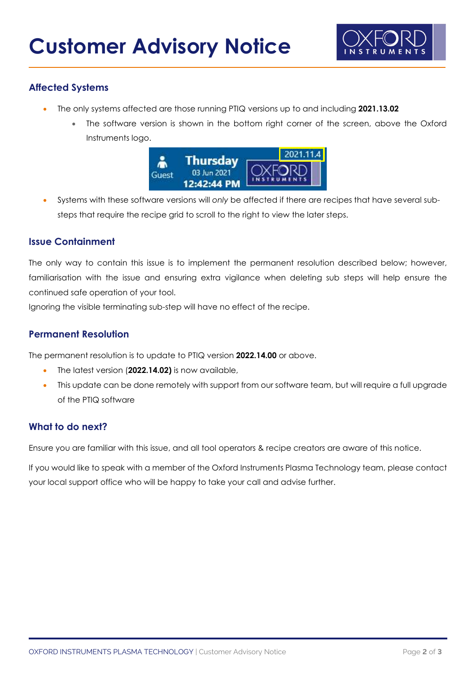

## Affected Systems

- The only systems affected are those running PTIQ versions up to and including 2021.13.02
	- The software version is shown in the bottom right corner of the screen, above the Oxford Instruments logo.



 Systems with these software versions will only be affected if there are recipes that have several substeps that require the recipe grid to scroll to the right to view the later steps.

## Issue Containment

The only way to contain this issue is to implement the permanent resolution described below; however, familiarisation with the issue and ensuring extra vigilance when deleting sub steps will help ensure the continued safe operation of your tool.

Ignoring the visible terminating sub-step will have no effect of the recipe.

## Permanent Resolution

The permanent resolution is to update to PTIQ version 2022.14.00 or above.

- The latest version (2022.14.02) is now available,
- This update can be done remotely with support from our software team, but will require a full upgrade of the PTIQ software

## What to do next?

Ensure you are familiar with this issue, and all tool operators & recipe creators are aware of this notice.

If you would like to speak with a member of the Oxford Instruments Plasma Technology team, please contact your local support office who will be happy to take your call and advise further.